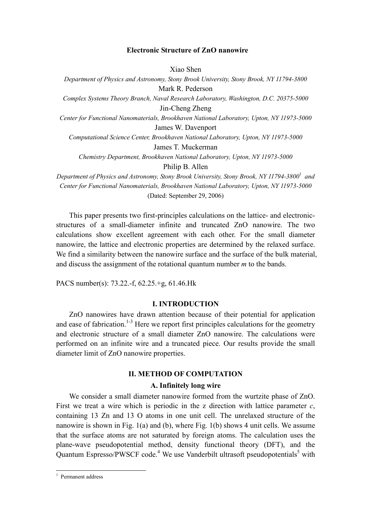# Electronic Structure of ZnO nanowire

Xiao Shen

Department of Physics and Astronomy, Stony Brook University, Stony Brook, NY 11794-3800 Mark R. Pederson

Complex Systems Theory Branch, Naval Research Laboratory, Washington, D.C. 20375-5000 Jin-Cheng Zheng

Center for Functional Nanomaterials, Brookhaven National Laboratory, Upton, NY 11973-5000 James W. Davenport

Computational Science Center, Brookhaven National Laboratory, Upton, NY 11973-5000

James T. Muckerman

Chemistry Department, Brookhaven National Laboratory, Upton, NY 11973-5000

Philip B. Allen

Department of Physics and Astronomy, Stony Brook University, Stony Brook, NY 11794-3800 $^{\rm l}$  and Center for Functional Nanomaterials, Brookhaven National Laboratory, Upton, NY 11973-5000 (Dated: September 29, 2006)

 This paper presents two first-principles calculations on the lattice- and electronicstructures of a small-diameter infinite and truncated ZnO nanowire. The two calculations show excellent agreement with each other. For the small diameter nanowire, the lattice and electronic properties are determined by the relaxed surface. We find a similarity between the nanowire surface and the surface of the bulk material, and discuss the assignment of the rotational quantum number m to the bands.

PACS number(s): 73.22.-f, 62.25.+g, 61.46.Hk

# I. INTRODUCTION

 ZnO nanowires have drawn attention because of their potential for application and ease of fabrication.<sup>1-3</sup> Here we report first principles calculations for the geometry and electronic structure of a small diameter ZnO nanowire. The calculations were performed on an infinite wire and a truncated piece. Our results provide the small diameter limit of ZnO nanowire properties.

# II. METHOD OF COMPUTATION

### A. Infinitely long wire

 We consider a small diameter nanowire formed from the wurtzite phase of ZnO. First we treat a wire which is periodic in the z direction with lattice parameter  $c$ , containing 13 Zn and 13 O atoms in one unit cell. The unrelaxed structure of the nanowire is shown in Fig. 1(a) and (b), where Fig. 1(b) shows 4 unit cells. We assume that the surface atoms are not saturated by foreign atoms. The calculation uses the plane-wave pseudopotential method, density functional theory (DFT), and the Quantum Espresso/PWSCF code.<sup>4</sup> We use Vanderbilt ultrasoft pseudopotentials<sup>5</sup> with

 1 Permanent address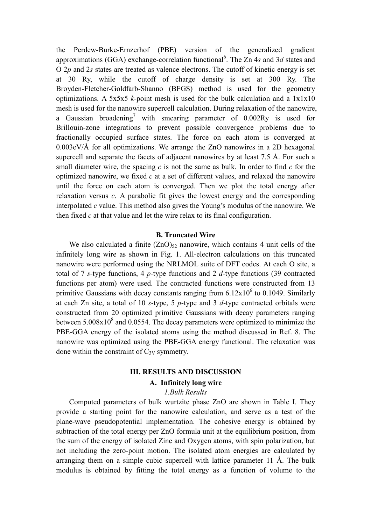the Perdew-Burke-Ernzerhof (PBE) version of the generalized gradient approximations (GGA) exchange-correlation functional<sup>6</sup>. The Zn 4s and 3d states and  $O$  2p and 2s states are treated as valence electrons. The cutoff of kinetic energy is set at 30 Ry, while the cutoff of charge density is set at 300 Ry. The Broyden-Fletcher-Goldfarb-Shanno (BFGS) method is used for the geometry optimizations. A 5x5x5 k-point mesh is used for the bulk calculation and a  $1x1x10$ mesh is used for the nanowire supercell calculation. During relaxation of the nanowire, a Gaussian broadening<sup>7</sup> with smearing parameter of  $0.002Ry$  is used for Brillouin-zone integrations to prevent possible convergence problems due to fractionally occupied surface states. The force on each atom is converged at 0.003eV/Å for all optimizations. We arrange the ZnO nanowires in a 2D hexagonal supercell and separate the facets of adjacent nanowires by at least 7.5 Å. For such a small diameter wire, the spacing  $c$  is not the same as bulk. In order to find  $c$  for the optimized nanowire, we fixed  $c$  at a set of different values, and relaxed the nanowire until the force on each atom is converged. Then we plot the total energy after relaxation versus  $c$ . A parabolic fit gives the lowest energy and the corresponding interpolated  $c$  value. This method also gives the Young's modulus of the nanowire. We then fixed  $c$  at that value and let the wire relax to its final configuration.

# B. Truncated Wire

We also calculated a finite  $(ZnO)<sub>2</sub>$  nanowire, which contains 4 unit cells of the infinitely long wire as shown in Fig. 1. All-electron calculations on this truncated nanowire were performed using the NRLMOL suite of DFT codes. At each O site, a total of 7 s-type functions, 4 p-type functions and 2 d-type functions (39 contracted functions per atom) were used. The contracted functions were constructed from 13 primitive Gaussians with decay constants ranging from  $6.12 \times 10^6$  to 0.1049. Similarly at each Zn site, a total of 10 s-type, 5 p-type and 3  $d$ -type contracted orbitals were constructed from 20 optimized primitive Gaussians with decay parameters ranging between  $5.008 \times 10^8$  and 0.0554. The decay parameters were optimized to minimize the PBE-GGA energy of the isolated atoms using the method discussed in Ref. 8. The nanowire was optimized using the PBE-GGA energy functional. The relaxation was done within the constraint of  $C_{3V}$  symmetry.

# III. RESULTS AND DISCUSSION

# A. Infinitely long wire

# 1.Bulk Results

 Computed parameters of bulk wurtzite phase ZnO are shown in Table I. They provide a starting point for the nanowire calculation, and serve as a test of the plane-wave pseudopotential implementation. The cohesive energy is obtained by subtraction of the total energy per ZnO formula unit at the equilibrium position, from the sum of the energy of isolated Zinc and Oxygen atoms, with spin polarization, but not including the zero-point motion. The isolated atom energies are calculated by arranging them on a simple cubic supercell with lattice parameter 11 Å. The bulk modulus is obtained by fitting the total energy as a function of volume to the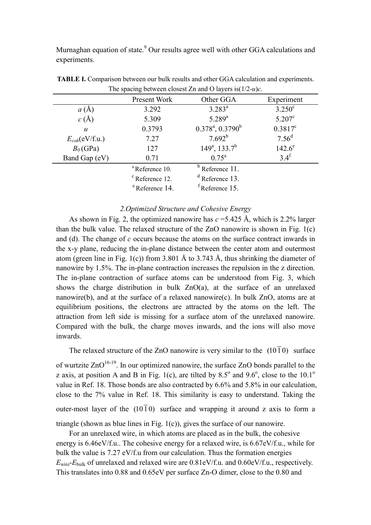Murnaghan equation of state.<sup>9</sup> Our results agree well with other GGA calculations and experiments.

| The spacing between crosest $\mathcal{L}$ n and $\mathcal{O}$ layers is $1/2 - u \mu$ . |                            |                        |                   |
|-----------------------------------------------------------------------------------------|----------------------------|------------------------|-------------------|
|                                                                                         | Present Work               | Other GGA              | Experiment        |
| a(A)                                                                                    | 3.292                      | $3.283^{a}$            | $3.250^{\circ}$   |
| $c(\AA)$                                                                                | 5.309                      | $5.289^{a}$            | $5.207^{\circ}$   |
| $\boldsymbol{u}$                                                                        | 0.3793                     | $0.378^a$ , $0.3790^b$ | $0.3817^c$        |
| $E_{coh}(eV/f.u.)$                                                                      | 7.27                       | $7.692^{b}$            | 7.56 <sup>d</sup> |
| $B_0$ (GPa)                                                                             | 127                        | $149^a$ , $133.7^b$    | $142.6^e$         |
| Band Gap (eV)                                                                           | 0.71                       | $0.75^{\rm a}$         | 3.4 <sup>f</sup>  |
|                                                                                         | <sup>a</sup> Reference 10. | Reference 11.          |                   |
|                                                                                         | <sup>c</sup> Reference 12. | $d$ Reference 13.      |                   |
|                                                                                         | <sup>e</sup> Reference 14. | Reference 15.          |                   |

TABLE I. Comparison between our bulk results and other GGA calculation and experiments. The spacing between closest Zn and O layers  $is(1/2-*u*)c$ .

# 2.Optimized Structure and Cohesive Energy

As shown in Fig. 2, the optimized nanowire has  $c = 5.425$  Å, which is 2.2% larger than the bulk value. The relaxed structure of the ZnO nanowire is shown in Fig. 1(c) and (d). The change of  $c$  occurs because the atoms on the surface contract inwards in the x-y plane, reducing the in-plane distance between the center atom and outermost atom (green line in Fig. 1(c)) from 3.801 Å to 3.743 Å, thus shrinking the diameter of nanowire by 1.5%. The in-plane contraction increases the repulsion in the z direction. The in-plane contraction of surface atoms can be understood from Fig. 3, which shows the charge distribution in bulk  $ZnO(a)$ , at the surface of an unrelaxed nanowire(b), and at the surface of a relaxed nanowire(c). In bulk ZnO, atoms are at equilibrium positions, the electrons are attracted by the atoms on the left. The attraction from left side is missing for a surface atom of the unrelaxed nanowire. Compared with the bulk, the charge moves inwards, and the ions will also move inwards.

The relaxed structure of the ZnO nanowire is very similar to the  $(10\bar{1}0)$  surface

of wurtzite  $ZnO^{16-19}$ . In our optimized nanowire, the surface  $ZnO$  bonds parallel to the z axis, at position A and B in Fig. 1(c), are tilted by 8.5 $^{\circ}$  and 9.6 $^{\circ}$ , close to the 10.1 $^{\circ}$ value in Ref. 18. Those bonds are also contracted by 6.6% and 5.8% in our calculation, close to the 7% value in Ref. 18. This similarity is easy to understand. Taking the outer-most layer of the  $(10\bar{1}0)$  surface and wrapping it around z axis to form a triangle (shown as blue lines in Fig. 1(c)), gives the surface of our nanowire.

 For an unrelaxed wire, in which atoms are placed as in the bulk, the cohesive energy is 6.46eV/f.u.. The cohesive energy for a relaxed wire, is 6.67eV/f.u., while for bulk the value is 7.27 eV/f.u from our calculation. Thus the formation energies  $E_{\text{wire}}$ - $E_{\text{bulk}}$  of unrelaxed and relaxed wire are 0.81eV/f.u. and 0.60eV/f.u., respectively. This translates into 0.88 and 0.65eV per surface Zn-O dimer, close to the 0.80 and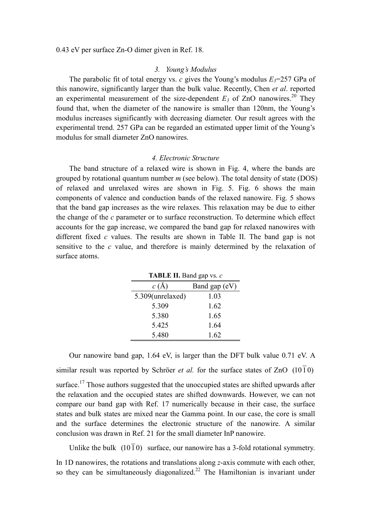0.43 eV per surface Zn-O dimer given in Ref. 18.

#### 3. Young's Modulus

The parabolic fit of total energy vs. c gives the Young's modulus  $E_3$ =257 GPa of this nanowire, significantly larger than the bulk value. Recently, Chen et al. reported an experimental measurement of the size-dependent  $E_3$  of ZnO nanowires.<sup>20</sup> They found that, when the diameter of the nanowire is smaller than 120nm, the Young's modulus increases significantly with decreasing diameter. Our result agrees with the experimental trend. 257 GPa can be regarded an estimated upper limit of the Young's modulus for small diameter ZnO nanowires.

#### 4. Electronic Structure

 The band structure of a relaxed wire is shown in Fig. 4, where the bands are grouped by rotational quantum number  $m$  (see below). The total density of state (DOS) of relaxed and unrelaxed wires are shown in Fig. 5. Fig. 6 shows the main components of valence and conduction bands of the relaxed nanowire. Fig. 5 shows that the band gap increases as the wire relaxes. This relaxation may be due to either the change of the  $c$  parameter or to surface reconstruction. To determine which effect accounts for the gap increase, we compared the band gap for relaxed nanowires with different fixed c values. The results are shown in Table II. The band gap is not sensitive to the c value, and therefore is mainly determined by the relaxation of surface atoms.

| <b>TADLE II.</b> Dally gap vs. $\epsilon$ |               |  |  |
|-------------------------------------------|---------------|--|--|
| c(A)                                      | Band gap (eV) |  |  |
| 5.309(unrelaxed)                          | 1.03          |  |  |
| 5.309                                     | 1.62          |  |  |
| 5.380                                     | 1.65          |  |  |
| 5.425                                     | 1.64          |  |  |
| 5.480                                     | 1.62          |  |  |

TABLE II. Band gap  $v_0$ .

 Our nanowire band gap, 1.64 eV, is larger than the DFT bulk value 0.71 eV. A similar result was reported by Schröer *et al.* for the surface states of ZnO  $(10\bar{1}0)$ surface.<sup>17</sup> Those authors suggested that the unoccupied states are shifted upwards after the relaxation and the occupied states are shifted downwards. However, we can not compare our band gap with Ref. 17 numerically because in their case, the surface states and bulk states are mixed near the Gamma point. In our case, the core is small and the surface determines the electronic structure of the nanowire. A similar conclusion was drawn in Ref. 21 for the small diameter InP nanowire.

Unlike the bulk  $(10\bar{1}0)$  surface, our nanowire has a 3-fold rotational symmetry.

In 1D nanowires, the rotations and translations along z-axis commute with each other, so they can be simultaneously diagonalized.<sup>22</sup> The Hamiltonian is invariant under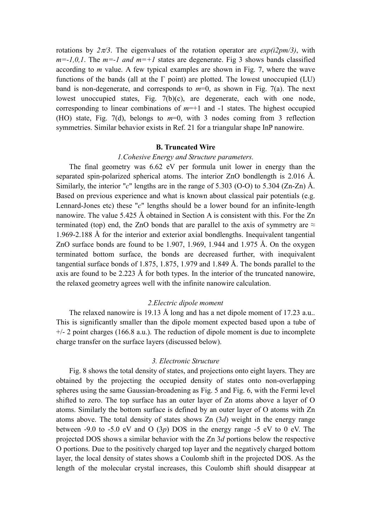rotations by  $2\pi/3$ . The eigenvalues of the rotation operator are  $exp(i2pm/3)$ , with  $m=-1,0,1$ . The  $m=-1$  and  $m=+1$  states are degenerate. Fig 3 shows bands classified according to m value. A few typical examples are shown in Fig. 7, where the wave functions of the bands (all at the  $\Gamma$  point) are plotted. The lowest unoccupied (LU) band is non-degenerate, and corresponds to  $m=0$ , as shown in Fig. 7(a). The next lowest unoccupied states, Fig. 7(b)(c), are degenerate, each with one node, corresponding to linear combinations of  $m=+1$  and  $-1$  states. The highest occupied (HO) state, Fig. 7(d), belongs to  $m=0$ , with 3 nodes coming from 3 reflection symmetries. Similar behavior exists in Ref. 21 for a triangular shape InP nanowire.

#### B. Truncated Wire

#### 1.Cohesive Energy and Structure parameters.

 The final geometry was 6.62 eV per formula unit lower in energy than the separated spin-polarized spherical atoms. The interior ZnO bondlength is 2.016 Å. Similarly, the interior "c" lengths are in the range of 5.303 (O-O) to 5.304 (Zn-Zn)  $\AA$ . Based on previous experience and what is known about classical pair potentials (e.g. Lennard-Jones etc) these "c" lengths should be a lower bound for an infinite-length nanowire. The value 5.425 Å obtained in Section A is consistent with this. For the Zn terminated (top) end, the ZnO bonds that are parallel to the axis of symmetry are  $\approx$ 1.969-2.188 Å for the interior and exterior axial bondlengths. Inequivalent tangential ZnO surface bonds are found to be 1.907, 1.969, 1.944 and 1.975 Å. On the oxygen terminated bottom surface, the bonds are decreased further, with inequivalent tangential surface bonds of 1.875, 1.875, 1.979 and 1.849 Å. The bonds parallel to the axis are found to be 2.223 Å for both types. In the interior of the truncated nanowire, the relaxed geometry agrees well with the infinite nanowire calculation.

#### 2.Electric dipole moment

 The relaxed nanowire is 19.13 Å long and has a net dipole moment of 17.23 a.u.. This is significantly smaller than the dipole moment expected based upon a tube of  $+/-$  2 point charges (166.8 a.u.). The reduction of dipole moment is due to incomplete charge transfer on the surface layers (discussed below).

#### 3. Electronic Structure

 Fig. 8 shows the total density of states, and projections onto eight layers. They are obtained by the projecting the occupied density of states onto non-overlapping spheres using the same Gaussian-broadening as Fig. 5 and Fig. 6, with the Fermi level shifted to zero. The top surface has an outer layer of Zn atoms above a layer of O atoms. Similarly the bottom surface is defined by an outer layer of O atoms with Zn atoms above. The total density of states shows  $Zn$  (3d) weight in the energy range between -9.0 to -5.0 eV and O  $(3p)$  DOS in the energy range -5 eV to 0 eV. The projected DOS shows a similar behavior with the Zn 3d portions below the respective O portions. Due to the positively charged top layer and the negatively charged bottom layer, the local density of states shows a Coulomb shift in the projected DOS. As the length of the molecular crystal increases, this Coulomb shift should disappear at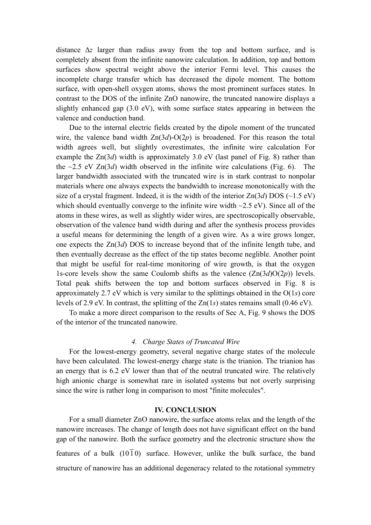distance ∆z larger than radius away from the top and bottom surface, and is completely absent from the infinite nanowire calculation. In addition, top and bottom surfaces show spectral weight above the interior Fermi level. This causes the incomplete charge transfer which has decreased the dipole moment. The bottom surface, with open-shell oxygen atoms, shows the most prominent surfaces states. In contrast to the DOS of the infinite ZnO nanowire, the truncated nanowire displays a slightly enhanced gap (3.0 eV), with some surface states appearing in between the valence and conduction band.

 Due to the internal electric fields created by the dipole moment of the truncated wire, the valence band width  $Zn(3d)-O(2p)$  is broadened. For this reason the total width agrees well, but slightly overestimates, the infinite wire calculation For example the  $Zn(3d)$  width is approximately 3.0 eV (last panel of Fig. 8) rather than the  $\sim$ 2.5 eV Zn(3*d*) width observed in the infinite wire calculations (Fig. 6). The larger bandwidth associated with the truncated wire is in stark contrast to nonpolar materials where one always expects the bandwidth to increase monotonically with the size of a crystal fragment. Indeed, it is the width of the interior  $Zn(3d) DOS \left(\sim 1.5 \text{ eV}\right)$ which should eventually converge to the infinite wire width  $\sim$ 2.5 eV). Since all of the atoms in these wires, as well as slightly wider wires, are spectroscopically observable, observation of the valence band width during and after the synthesis process provides a useful means for determining the length of a given wire. As a wire grows longer, one expects the Zn(3d) DOS to increase beyond that of the infinite length tube, and then eventually decrease as the effect of the tip states become neglible. Another point that might be useful for real-time monitoring of wire growth, is that the oxygen 1s-core levels show the same Coulomb shifts as the valence  $(Zn(3d)O(2p))$  levels. Total peak shifts between the top and bottom surfaces observed in Fig. 8 is approximately 2.7 eV which is very similar to the splittings obtained in the  $O(1s)$  core levels of 2.9 eV. In contrast, the splitting of the Zn(1s) states remains small (0.46 eV).

 To make a more direct comparison to the results of Sec A, Fig. 9 shows the DOS of the interior of the truncated nanowire.

# 4. Charge States of Truncated Wire

 For the lowest-energy geometry, several negative charge states of the molecule have been calculated. The lowest-energy charge state is the trianion. The trianion has an energy that is 6.2 eV lower than that of the neutral truncated wire. The relatively high anionic charge is somewhat rare in isolated systems but not overly surprising since the wire is rather long in comparison to most "finite molecules".

## IV. CONCLUSION

 For a small diameter ZnO nanowire, the surface atoms relax and the length of the nanowire increases. The change of length does not have significant effect on the band gap of the nanowire. Both the surface geometry and the electronic structure show the features of a bulk ( $10\overline{1}0$ ) surface. However, unlike the bulk surface, the band structure of nanowire has an additional degeneracy related to the rotational symmetry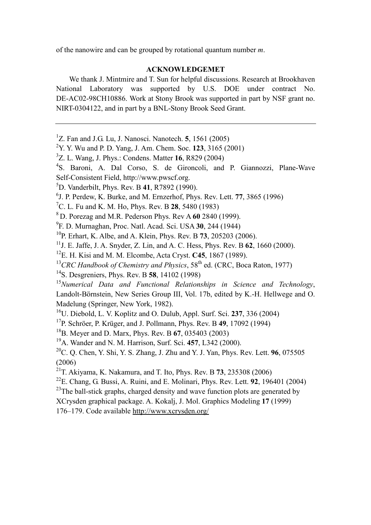of the nanowire and can be grouped by rotational quantum number m.

# ACKNOWLEDGEMET

 We thank J. Mintmire and T. Sun for helpful discussions. Research at Brookhaven National Laboratory was supported by U.S. DOE under contract No. DE-AC02-98CH10886. Work at Stony Brook was supported in part by NSF grant no. NIRT-0304122, and in part by a BNL-Stony Brook Seed Grant.

<sup>1</sup>Z. Fan and J.G. Lu, J. Nanosci. Nanotech. **5**, 1561 (2005)

<sup>2</sup>Y. Y. Wu and P. D. Yang, J. Am. Chem. Soc. **123**, 3165 (2001)

 $3$ Z. L. Wang, J. Phys.: Condens. Matter 16, R829 (2004)

<sup>4</sup>S. Baroni, A. Dal Corso, S. de Gironcoli, and P. Giannozzi, Plane-Wave Self-Consistent Field, http://www.pwscf.org.

- ${}^{5}D$ . Vanderbilt, Phys. Rev. B 41, R7892 (1990).
- 6 J. P. Perdew, K. Burke, and M. Ernzerhof, Phys. Rev. Lett. 77, 3865 (1996)

<sup>7</sup>C. L. Fu and K. M. Ho, Phys. Rev. B **28**, 5480 (1983)

- <sup>8</sup>D. Porezag and M.R. Pederson Phys. Rev A 60 2840 (1999).
- <sup>9</sup>F. D. Murnaghan, Proc. Natl. Acad. Sci. USA 30, 244 (1944)

 $10P$ . Erhart, K. Albe, and A. Klein, Phys. Rev. B 73, 205203 (2006).

<sup>11</sup>J. E. Jaffe, J. A. Snyder, Z. Lin, and A. C. Hess, Phys. Rev. B  $62$ , 1660 (2000).

 $12$ E. H. Kisi and M. M. Elcombe, Acta Cryst. C45, 1867 (1989).

 $13$ CRC Handbook of Chemistry and Physics, 58<sup>th</sup> ed. (CRC, Boca Raton, 1977)

<sup>14</sup>S. Desgreniers, Phys. Rev. B **58**, 14102 (1998)

 $15$ Numerical Data and Functional Relationships in Science and Technology, Landolt-Börnstein, New Series Group III, Vol. 17b, edited by K.-H. Hellwege and O. Madelung (Springer, New York, 1982).

 $16$ U. Diebold, L. V. Koplitz and O. Dulub, Appl. Surf. Sci. 237, 336 (2004)

 $17P$ . Schröer, P. Krüger, and J. Pollmann, Phys. Rev. B 49, 17092 (1994)

 $^{18}$ B. Meyer and D. Marx, Phys. Rev. B 67, 035403 (2003)

<sup>19</sup>A. Wander and N. M. Harrison, Surf. Sci. 457, L342 (2000).

<sup>20</sup>C. Q. Chen, Y. Shi, Y. S. Zhang, J. Zhu and Y. J. Yan, Phys. Rev. Lett. **96**, 075505 (2006)

 $^{22}$ E. Chang, G. Bussi, A. Ruini, and E. Molinari, Phys. Rev. Lett. 92, 196401 (2004)

 $^{23}$ The ball-stick graphs, charged density and wave function plots are generated by

XCrysden graphical package. A. Kokalj, J. Mol. Graphics Modeling 17 (1999)

176–179. Code available http://www.xcrysden.org/

<sup>&</sup>lt;sup>21</sup>T. Akiyama, K. Nakamura, and T. Ito, Phys. Rev. B **73**, 235308 (2006)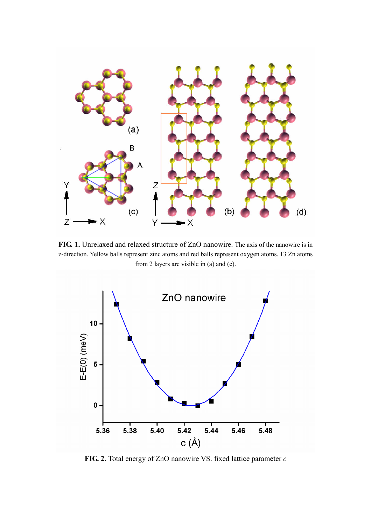

FIG. 1. Unrelaxed and relaxed structure of ZnO nanowire. The axis of the nanowire is in z-direction. Yellow balls represent zinc atoms and red balls represent oxygen atoms. 13 Zn atoms from 2 layers are visible in (a) and (c).



FIG. 2. Total energy of ZnO nanowire VS. fixed lattice parameter  $c$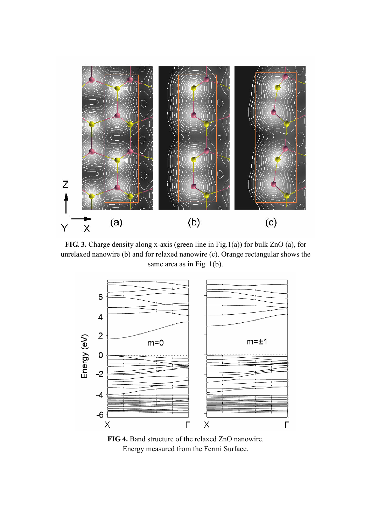

FIG. 3. Charge density along x-axis (green line in Fig.1(a)) for bulk ZnO (a), for unrelaxed nanowire (b) and for relaxed nanowire (c). Orange rectangular shows the same area as in Fig. 1(b).



FIG 4. Band structure of the relaxed ZnO nanowire. Energy measured from the Fermi Surface.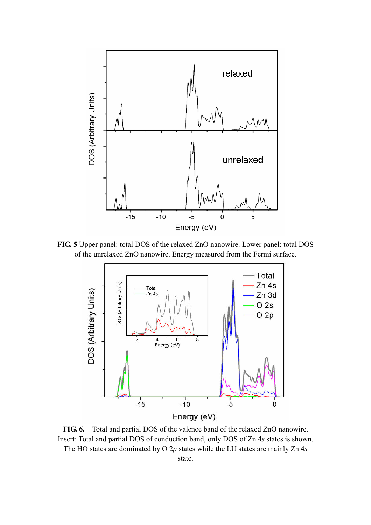

FIG. 5 Upper panel: total DOS of the relaxed ZnO nanowire. Lower panel: total DOS of the unrelaxed ZnO nanowire. Energy measured from the Fermi surface.



FIG. 6. Total and partial DOS of the valence band of the relaxed ZnO nanowire. Insert: Total and partial DOS of conduction band, only DOS of Zn 4s states is shown. The HO states are dominated by O  $2p$  states while the LU states are mainly Zn  $4s$ state.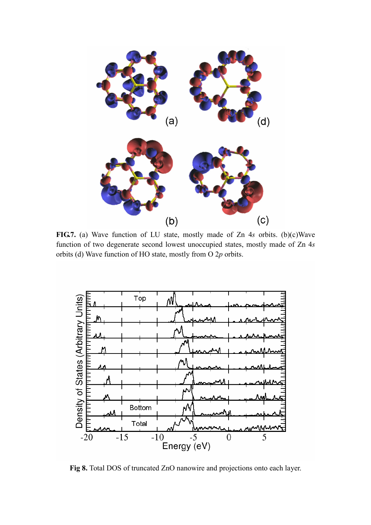

FIG.7. (a) Wave function of LU state, mostly made of Zn 4s orbits. (b)(c)Wave function of two degenerate second lowest unoccupied states, mostly made of Zn 4s orbits (d) Wave function of HO state, mostly from O 2p orbits.



Fig 8. Total DOS of truncated ZnO nanowire and projections onto each layer.